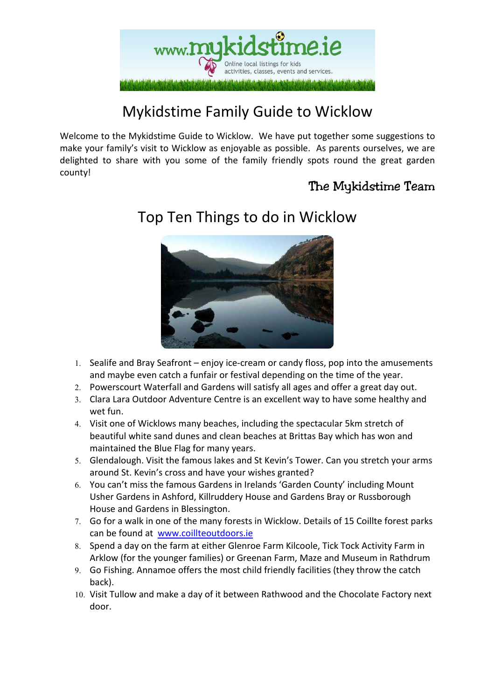

# Mykidstime Family Guide to Wicklow

Welcome to the Mykidstime Guide to Wicklow. We have put together some suggestions to make your family's visit to Wicklow as enjoyable as possible. As parents ourselves, we are delighted to share with you some of the family friendly spots round the great garden county!

#### The Mykidstime Team



### Top Ten Things to do in Wicklow

- 1. Sealife and Bray Seafront enjoy ice-cream or candy floss, pop into the amusements and maybe even catch a funfair or festival depending on the time of the year.
- 2. Powerscourt Waterfall and Gardens will satisfy all ages and offer a great day out.
- 3. Clara Lara Outdoor Adventure Centre is an excellent way to have some healthy and wet fun.
- 4. Visit one of Wicklows many beaches, including the spectacular 5km stretch of beautiful white sand dunes and clean beaches at Brittas Bay which has won and maintained the Blue Flag for many years.
- 5. Glendalough. Visit the famous lakes and St Kevin's Tower. Can you stretch your arms around St. Kevin's cross and have your wishes granted?
- 6. You can't miss the famous Gardens in Irelands 'Garden County' including Mount Usher Gardens in Ashford, Killruddery House and Gardens Bray or Russborough House and Gardens in Blessington.
- 7. Go for a walk in one of the many forests in Wicklow. Details of 15 Coillte forest parks can be found at www.coillteoutdoors.ie
- 8. Spend a day on the farm at either Glenroe Farm Kilcoole, Tick Tock Activity Farm in Arklow (for the younger families) or Greenan Farm, Maze and Museum in Rathdrum
- 9. Go Fishing. Annamoe offers the most child friendly facilities (they throw the catch back).
- 10. Visit Tullow and make a day of it between Rathwood and the Chocolate Factory next door.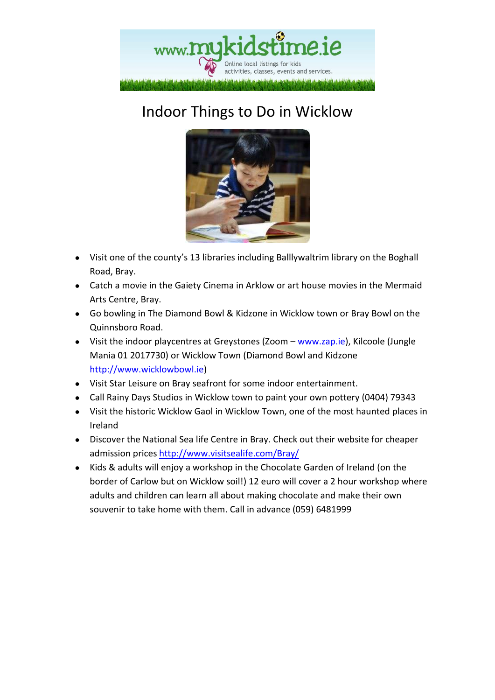

# Indoor Things to Do in Wicklow



- Visit one of the county's 13 libraries including Balllywaltrim library on the Boghall Road, Bray.
- Catch a movie in the Gaiety Cinema in Arklow or art house movies in the Mermaid Arts Centre, Bray.
- Go bowling in The Diamond Bowl & Kidzone in Wicklow town or Bray Bowl on the Quinnsboro Road.
- Visit the indoor playcentres at Greystones (Zoom www.zap.ie), Kilcoole (Jungle Mania 01 2017730) or Wicklow Town (Diamond Bowl and Kidzone http://www.wicklowbowl.ie)
- Visit Star Leisure on Bray seafront for some indoor entertainment.
- Call Rainy Days Studios in Wicklow town to paint your own pottery (0404) 79343
- Visit the historic Wicklow Gaol in Wicklow Town, one of the most haunted places in Ireland
- Discover the National Sea life Centre in Bray. Check out their website for cheaper admission prices http://www.visitsealife.com/Bray/
- Kids & adults will enjoy a workshop in the Chocolate Garden of Ireland (on the border of Carlow but on Wicklow soil!) 12 euro will cover a 2 hour workshop where adults and children can learn all about making chocolate and make their own souvenir to take home with them. Call in advance (059) 6481999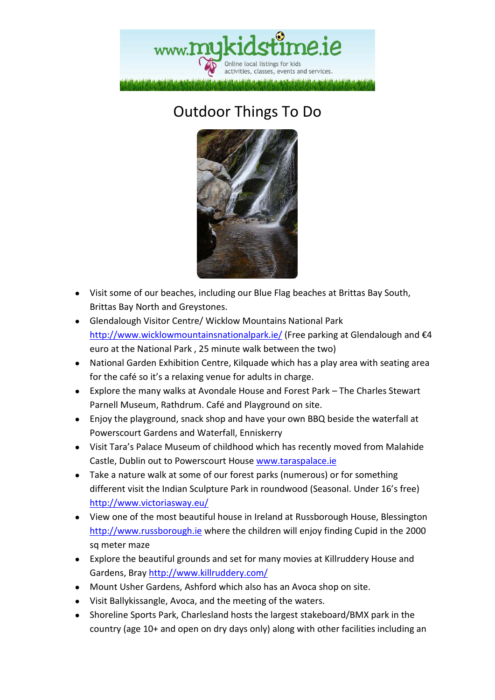

# Outdoor Things To Do



- Visit some of our beaches, including our Blue Flag beaches at Brittas Bay South, Brittas Bay North and Greystones.
- Glendalough Visitor Centre/ Wicklow Mountains National Park http://www.wicklowmountainsnationalpark.ie/ (Free parking at Glendalough and €4 euro at the National Park , 25 minute walk between the two)
- National Garden Exhibition Centre, Kilquade which has a play area with seating area for the café so it's a relaxing venue for adults in charge.
- Explore the many walks at Avondale House and Forest Park The Charles Stewart Parnell Museum, Rathdrum. Café and Playground on site.
- Enjoy the playground, snack shop and have your own BBQ beside the waterfall at Powerscourt Gardens and Waterfall, Enniskerry
- Visit Tara's Palace Museum of childhood which has recently moved from Malahide Castle, Dublin out to Powerscourt House www.taraspalace.ie
- Take a nature walk at some of our forest parks (numerous) or for something different visit the Indian Sculpture Park in roundwood (Seasonal. Under 16's free) http://www.victoriasway.eu/
- View one of the most beautiful house in Ireland at Russborough House, Blessington http://www.russborough.ie where the children will enjoy finding Cupid in the 2000 sq meter maze
- Explore the beautiful grounds and set for many movies at Killruddery House and Gardens, Bray http://www.killruddery.com/
- Mount Usher Gardens, Ashford which also has an Avoca shop on site.
- Visit Ballykissangle, Avoca, and the meeting of the waters.
- Shoreline Sports Park, Charlesland hosts the largest stakeboard/BMX park in the country (age 10+ and open on dry days only) along with other facilities including an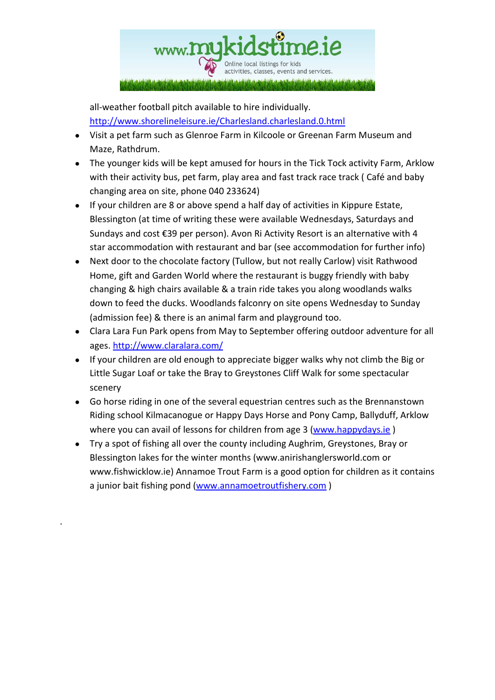

all-weather football pitch available to hire individually. http://www.shorelineleisure.ie/Charlesland.charlesland.0.html

- Visit a pet farm such as Glenroe Farm in Kilcoole or Greenan Farm Museum and Maze, Rathdrum.
- The younger kids will be kept amused for hours in the Tick Tock activity Farm, Arklow with their activity bus, pet farm, play area and fast track race track ( Café and baby changing area on site, phone 040 233624)
- If your children are 8 or above spend a half day of activities in Kippure Estate, Blessington (at time of writing these were available Wednesdays, Saturdays and Sundays and cost €39 per person). Avon Ri Activity Resort is an alternative with 4 star accommodation with restaurant and bar (see accommodation for further info)
- Next door to the chocolate factory (Tullow, but not really Carlow) visit Rathwood Home, gift and Garden World where the restaurant is buggy friendly with baby changing & high chairs available & a train ride takes you along woodlands walks down to feed the ducks. Woodlands falconry on site opens Wednesday to Sunday (admission fee) & there is an animal farm and playground too.
- Clara Lara Fun Park opens from May to September offering outdoor adventure for all ages. http://www.claralara.com/
- If your children are old enough to appreciate bigger walks why not climb the Big or Little Sugar Loaf or take the Bray to Greystones Cliff Walk for some spectacular scenery
- Go horse riding in one of the several equestrian centres such as the Brennanstown Riding school Kilmacanogue or Happy Days Horse and Pony Camp, Ballyduff, Arklow where you can avail of lessons for children from age 3 (www.happydays.ie)
- Try a spot of fishing all over the county including Aughrim, Greystones, Bray or Blessington lakes for the winter months (www.anirishanglersworld.com or www.fishwicklow.ie) Annamoe Trout Farm is a good option for children as it contains a junior bait fishing pond (www.annamoetroutfishery.com)

.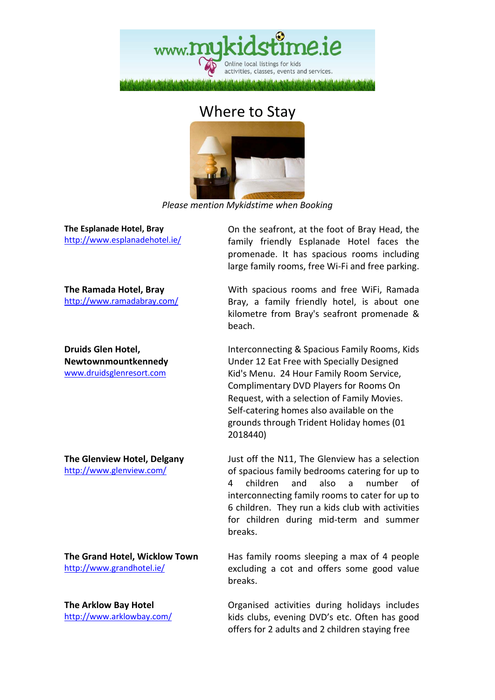

#### Where to Stay



*Please mention Mykidstime when Booking* 

**The Esplanade Hotel, Bray** http://www.esplanadehotel.ie/

On the seafront, at the foot of Bray Head, the family friendly Esplanade Hotel faces the promenade. It has spacious rooms including large family rooms, free Wi-Fi and free parking.

**The Ramada Hotel, Bray** http://www.ramadabray.com/

**Druids Glen Hotel, Newtownmountkennedy**  www.druidsglenresort.com

**The Glenview Hotel, Delgany**  http://www.glenview.com/

**The Grand Hotel, Wicklow Town**  http://www.grandhotel.ie/

**The Arklow Bay Hotel**  http://www.arklowbay.com/ With spacious rooms and free WiFi, Ramada Bray, a family friendly hotel, is about one kilometre from Bray's seafront promenade & beach.

Interconnecting & Spacious Family Rooms, Kids Under 12 Eat Free with Specially Designed Kid's Menu. 24 Hour Family Room Service, Complimentary DVD Players for Rooms On Request, with a selection of Family Movies. Self-catering homes also available on the grounds through Trident Holiday homes (01 2018440)

Just off the N11, The Glenview has a selection of spacious family bedrooms catering for up to 4 children and also a number of interconnecting family rooms to cater for up to 6 children. They run a kids club with activities for children during mid-term and summer breaks.

Has family rooms sleeping a max of 4 people excluding a cot and offers some good value breaks.

Organised activities during holidays includes kids clubs, evening DVD's etc. Often has good offers for 2 adults and 2 children staying free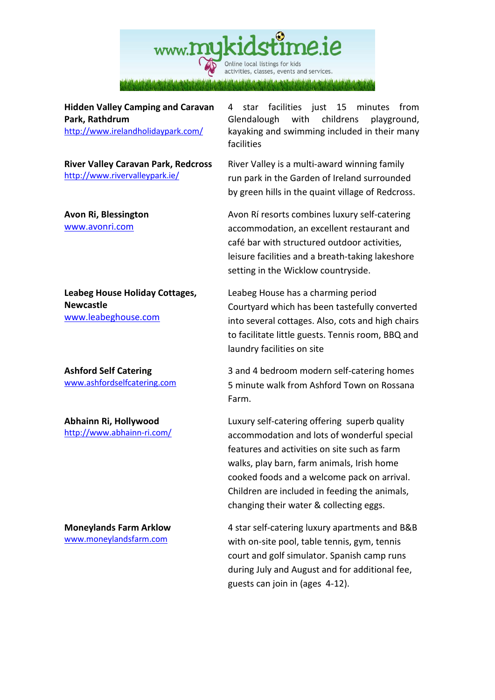

**Hidden Valley Camping and Caravan Park, Rathdrum** 

http://www.irelandholidaypark.com/

**River Valley Caravan Park, Redcross**  http://www.rivervalleypark.ie/

**Avon Ri, Blessington**  www.avonri.com

**Leabeg House Holiday Cottages, Newcastle**  www.leabeghouse.com

**Ashford Self Catering**  www.ashfordselfcatering.com

**Abhainn Ri, Hollywood**  http://www.abhainn-ri.com/

**Moneylands Farm Arklow**  www.moneylandsfarm.com

4 star facilities just 15 minutes from Glendalough with childrens playground, kayaking and swimming included in their many facilities

River Valley is a multi-award winning family run park in the Garden of Ireland surrounded by green hills in the quaint village of Redcross.

Avon Rí resorts combines luxury self-catering accommodation, an excellent restaurant and café bar with structured outdoor activities, leisure facilities and a breath-taking lakeshore setting in the Wicklow countryside.

Leabeg House has a charming period Courtyard which has been tastefully converted into several cottages. Also, cots and high chairs to facilitate little guests. Tennis room, BBQ and laundry facilities on site

3 and 4 bedroom modern self-catering homes 5 minute walk from Ashford Town on Rossana Farm.

Luxury self-catering offering superb quality accommodation and lots of wonderful special features and activities on site such as farm walks, play barn, farm animals, Irish home cooked foods and a welcome pack on arrival. Children are included in feeding the animals, changing their water & collecting eggs.

4 star self-catering luxury apartments and B&B with on-site pool, table tennis, gym, tennis court and golf simulator. Spanish camp runs during July and August and for additional fee, guests can join in (ages 4-12).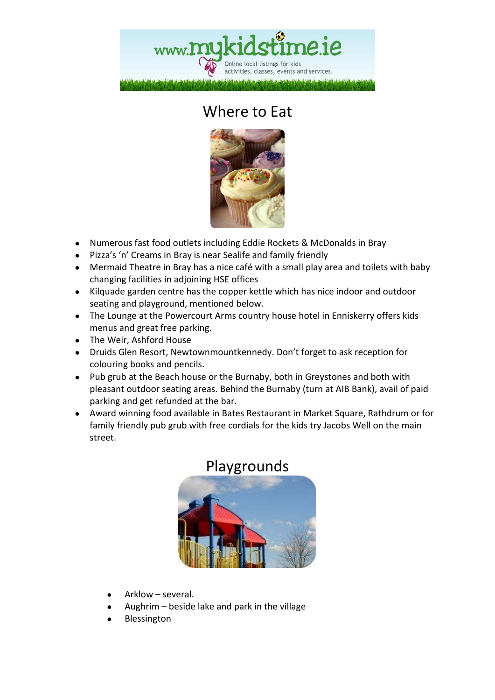

# Where to Eat



- Numerous fast food outlets including Eddie Rockets & McDonalds in Bray
- Pizza's 'n' Creams in Bray is near Sealife and family friendly
- Mermaid Theatre in Bray has a nice café with a small play area and toilets with baby changing facilities in adjoining HSE offices
- Kilquade garden centre has the copper kettle which has nice indoor and outdoor seating and playground, mentioned below.
- The Lounge at the Powercourt Arms country house hotel in Enniskerry offers kids menus and great free parking.
- The Weir, Ashford House
- Druids Glen Resort, Newtownmountkennedy. Don't forget to ask reception for colouring books and pencils.
- Pub grub at the Beach house or the Burnaby, both in Greystones and both with pleasant outdoor seating areas. Behind the Burnaby (turn at AIB Bank), avail of paid parking and get refunded at the bar.
- Award winning food available in Bates Restaurant in Market Square, Rathdrum or for family friendly pub grub with free cordials for the kids try Jacobs Well on the main street.



#### Playgrounds

- Arklow several.
- Aughrim  $-$  beside lake and park in the village
- **Blessington**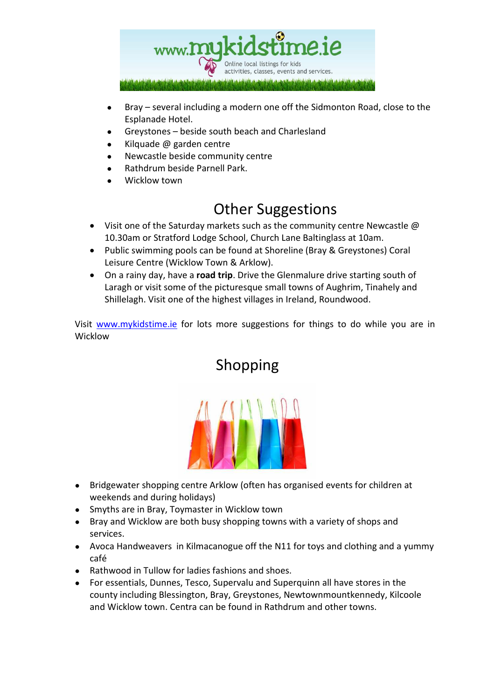

- Bray several including a modern one off the Sidmonton Road, close to the Esplanade Hotel.
- Greystones beside south beach and Charlesland
- Kilquade  $\omega$  garden centre
- Newcastle beside community centre
- Rathdrum beside Parnell Park.
- Wicklow town

#### Other Suggestions

- Visit one of the Saturday markets such as the community centre Newcastle  $\omega$ 10.30am or Stratford Lodge School, Church Lane Baltinglass at 10am.
- Public swimming pools can be found at Shoreline (Bray & Greystones) Coral Leisure Centre (Wicklow Town & Arklow).
- On a rainy day, have a **road trip**. Drive the Glenmalure drive starting south of Laragh or visit some of the picturesque small towns of Aughrim, Tinahely and Shillelagh. Visit one of the highest villages in Ireland, Roundwood.

Visit www.mykidstime.ie for lots more suggestions for things to do while you are in Wicklow



Shopping

- Bridgewater shopping centre Arklow (often has organised events for children at weekends and during holidays)
- Smyths are in Bray, Toymaster in Wicklow town
- Bray and Wicklow are both busy shopping towns with a variety of shops and services.
- Avoca Handweavers in Kilmacanogue off the N11 for toys and clothing and a yummy café
- Rathwood in Tullow for ladies fashions and shoes.
- For essentials, Dunnes, Tesco, Supervalu and Superquinn all have stores in the county including Blessington, Bray, Greystones, Newtownmountkennedy, Kilcoole and Wicklow town. Centra can be found in Rathdrum and other towns.